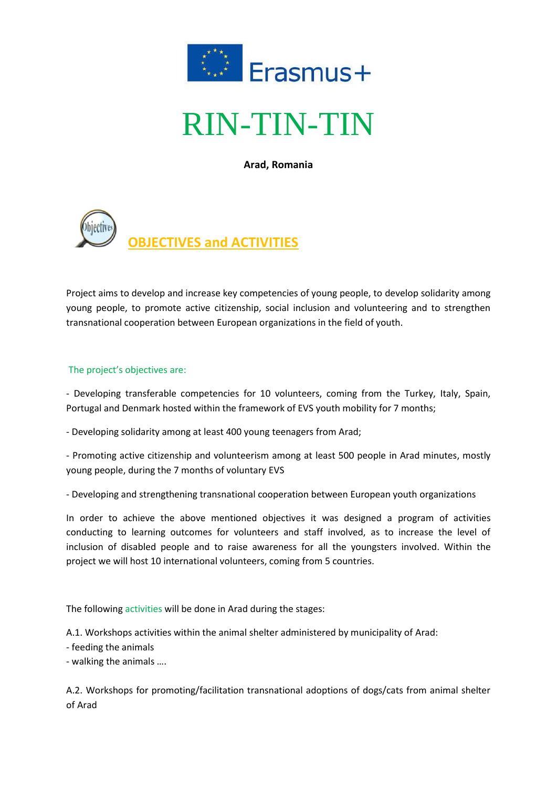

# RIN-TIN-TIN

**Arad, Romania**



Project aims to develop and increase key competencies of young people, to develop solidarity among young people, to promote active citizenship, social inclusion and volunteering and to strengthen transnational cooperation between European organizations in the field of youth.

## The project's objectives are:

- Developing transferable competencies for 10 volunteers, coming from the Turkey, Italy, Spain, Portugal and Denmark hosted within the framework of EVS youth mobility for 7 months;

- Developing solidarity among at least 400 young teenagers from Arad;

- Promoting active citizenship and volunteerism among at least 500 people in Arad minutes, mostly young people, during the 7 months of voluntary EVS

- Developing and strengthening transnational cooperation between European youth organizations

In order to achieve the above mentioned objectives it was designed a program of activities conducting to learning outcomes for volunteers and staff involved, as to increase the level of inclusion of disabled people and to raise awareness for all the youngsters involved. Within the project we will host 10 international volunteers, coming from 5 countries.

The following activities will be done in Arad during the stages:

A.1. Workshops activities within the animal shelter administered by municipality of Arad:

- feeding the animals
- walking the animals ….

A.2. Workshops for promoting/facilitation transnational adoptions of dogs/cats from animal shelter of Arad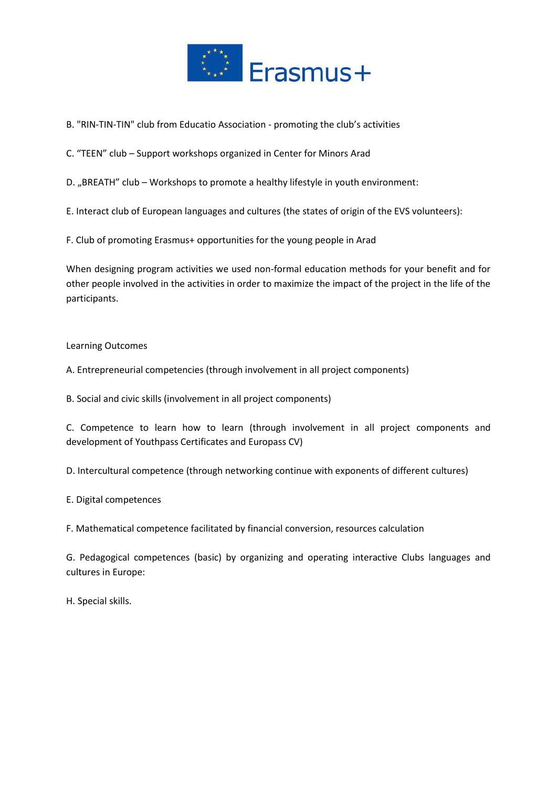

- B. "RIN-TIN-TIN" club from Educatio Association promoting the club's activities
- C. "TEEN" club Support workshops organized in Center for Minors Arad
- D. "BREATH" club Workshops to promote a healthy lifestyle in youth environment:
- E. Interact club of European languages and cultures (the states of origin of the EVS volunteers):
- F. Club of promoting Erasmus+ opportunities for the young people in Arad

When designing program activities we used non-formal education methods for your benefit and for other people involved in the activities in order to maximize the impact of the project in the life of the participants.

#### Learning Outcomes

A. Entrepreneurial competencies (through involvement in all project components)

B. Social and civic skills (involvement in all project components)

C. Competence to learn how to learn (through involvement in all project components and development of Youthpass Certificates and Europass CV)

D. Intercultural competence (through networking continue with exponents of different cultures)

E. Digital competences

F. Mathematical competence facilitated by financial conversion, resources calculation

G. Pedagogical competences (basic) by organizing and operating interactive Clubs languages and cultures in Europe:

H. Special skills.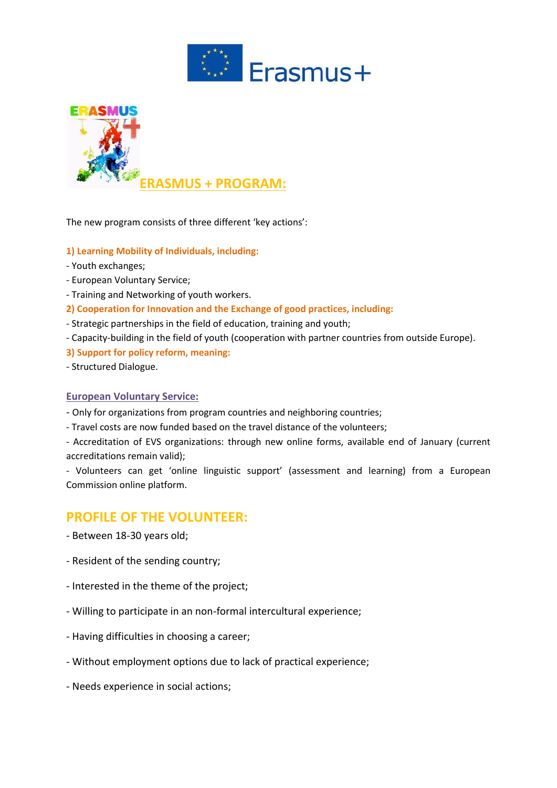



The new program consists of three different 'key actions':

- **1) Learning Mobility of Individuals, including:**
- Youth exchanges;
- European Voluntary Service;
- Training and Networking of youth workers.
- **2) Cooperation for Innovation and the Exchange of good practices, including:**
- Strategic partnerships in the field of education, training and youth;
- Capacity-building in the field of youth (cooperation with partner countries from outside Europe).
- **3) Support for policy reform, meaning:**
- Structured Dialogue.

#### **European Voluntary Service:**

- Only for organizations from program countries and neighboring countries;
- Travel costs are now funded based on the travel distance of the volunteers;

- Accreditation of EVS organizations: through new online forms, available end of January (current accreditations remain valid);

- Volunteers can get 'online linguistic support' (assessment and learning) from a European Commission online platform.

## **PROFILE OF THE VOLUNTEER:**

- Between 18-30 years old;
- Resident of the sending country;
- Interested in the theme of the project;
- Willing to participate in an non-formal intercultural experience;
- Having difficulties in choosing a career;
- Without employment options due to lack of practical experience;
- Needs experience in social actions;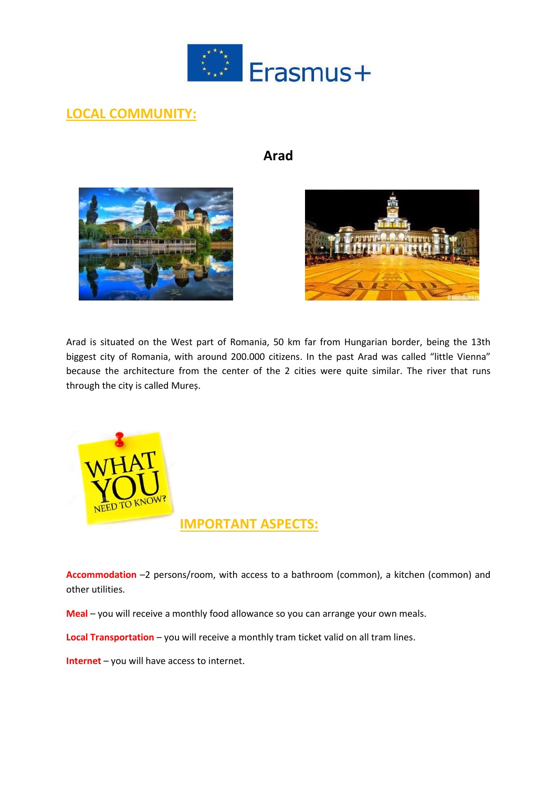

## **LOCAL COMMUNITY:**

## **Arad**





Arad is situated on the West part of Romania, 50 km far from Hungarian border, being the 13th biggest city of Romania, with around 200.000 citizens. In the past Arad was called "little Vienna" because the architecture from the center of the 2 cities were quite similar. The river that runs through the city is called Mureș.



**Accommodation** –2 persons/room, with access to a bathroom (common), a kitchen (common) and other utilities.

**Meal** – you will receive a monthly food allowance so you can arrange your own meals.

**Local Transportation** – you will receive a monthly tram ticket valid on all tram lines.

**Internet** – you will have access to internet.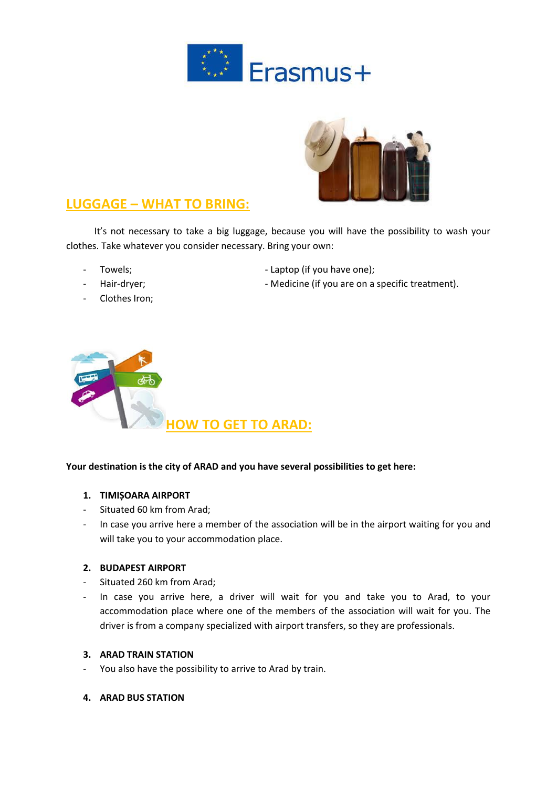



## **LUGGAGE – WHAT TO BRING:**

 It's not necessary to take a big luggage, because you will have the possibility to wash your clothes. Take whatever you consider necessary. Bring your own:

- 
- 
- Towels; example and the control of the Laptop (if you have one);
	- Hair-dryer; https://www.communitytyleu.communityleuries/inferential/entrychilduck reatment).
- Clothes Iron;



## **Your destination is the city of ARAD and you have several possibilities to get here:**

## **1. TIMIȘOARA AIRPORT**

- Situated 60 km from Arad;
- In case you arrive here a member of the association will be in the airport waiting for you and will take you to your accommodation place.

## **2. BUDAPEST AIRPORT**

- Situated 260 km from Arad;
- In case you arrive here, a driver will wait for you and take you to Arad, to your accommodation place where one of the members of the association will wait for you. The driver is from a company specialized with airport transfers, so they are professionals.

#### **3. ARAD TRAIN STATION**

- You also have the possibility to arrive to Arad by train.
- **4. ARAD BUS STATION**